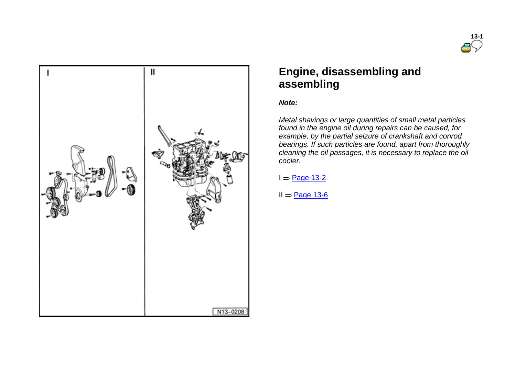



# **Engine, disassembling and assembling**

### *Note:*

*Metal shavings or large quantities of small metal particles found in the engine oil during repairs can be caused, for example, by the partial seizure of crankshaft and conrod bearings. If such particles are found, apart from thoroughly cleaning the oil passages, it is necessary to replace the oil cooler.*

 $I \Rightarrow$  Page 13-2

 $II = \text{Page } 13-6$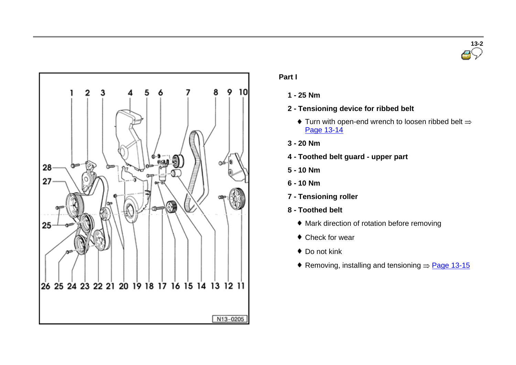



### **Part I**

- **1 - 25 Nm**
- **2 - Tensioning device for ribbed belt**
	- $\bullet$  Turn with open-end wrench to loosen ribbed belt  $\Rightarrow$ Page 13-14
- **3 - 20 Nm**
- **4 - Toothed belt guard - upper part**
- **5 - 10 Nm**
- **6 - 10 Nm**
- **7 - Tensioning roller**
- **8 - Toothed belt**
	- Mark direction of rotation before removing
	- ◆ Check for wear
	- ◆ Do not kink
	- Removing, installing and tensioning  $\Rightarrow$  Page 13-15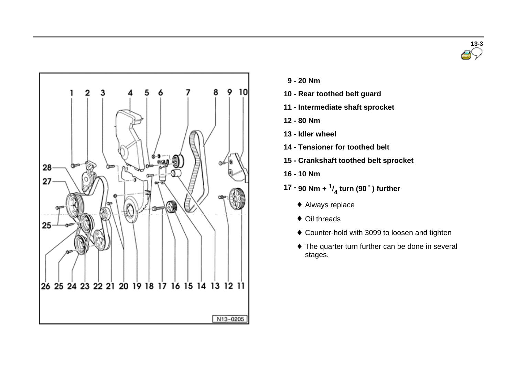



- **9 - <sup>20</sup> Nm**
- **10 - Rear toothed belt guard**
- **11 - Intermediate shaft sprocket**
- **12 - 80 Nm**
- **13 - Idler wheel**
- **14 - Tensioner for toothed belt**
- **15 - Crankshaft toothed belt sprocket**
- **16 - 10 Nm**
- **17 - 90 Nm + <sup>1</sup> / 4 turn (90 ) further**
	- Always replace
	- ◆ Oil threads
	- Counter-hold with 3099 to loosen and tighten
	- $\bullet$  The quarter turn further can be done in several stages.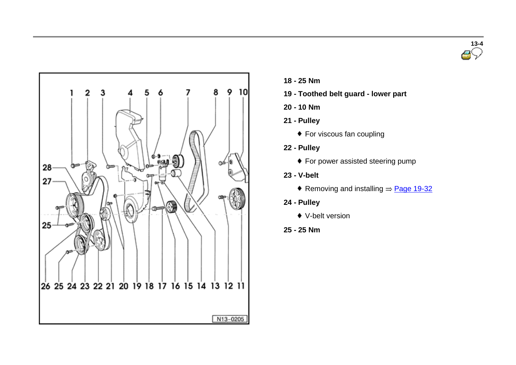



### **18 - <sup>25</sup> Nm**

- **19 - Toothed belt guard - lower part**
- **20 - 10 Nm**
- **21 - Pulley**
	- For viscous fan coupling
- **22 - Pulley**
	- For power assisted steering pump
- **23 - V-belt**
	- Removing and installing  $\Rightarrow$  Page 19-32
- **24 - Pulley**
	- V-belt version
- **25 - 25 Nm**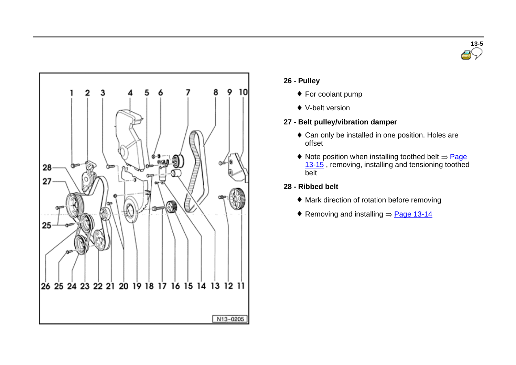



### **26 - Pulley**

- ◆ For coolant pump
- V-belt version

### **27 - Belt pulley/vibration damper**

- Can only be installed in one position. Holes are offset
- $\blacklozenge$  Note position when installing toothed belt  $\Rightarrow$  Page 13-15 , removing, installing and tensioning toothed belt

### **28 - Ribbed belt**

- Mark direction of rotation before removing
- Removing and installing  $\Rightarrow$  Page 13-14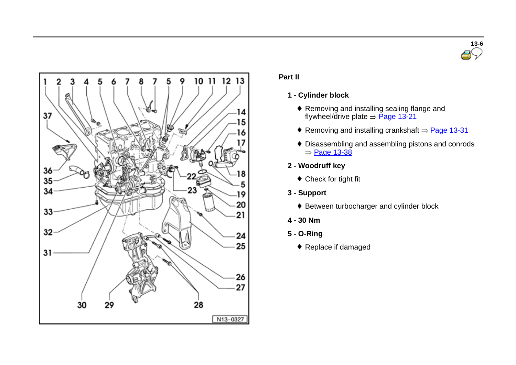



### **Part II**

### **1 - Cylinder block**

- Removing and installing sealing flange and flywheel/drive plate  $=$   $\frac{\text{Page } 13-21}{\text{Page } 13-21}$
- Removing and installing crankshaft  $\Rightarrow$  Page 13-31
- Disassembling and assembling pistons and conrods  $=$  Page 13-38
- **2 - Woodruff key**
	- ◆ Check for tight fit
- **3 - Support**
	- ◆ Between turbocharger and cylinder block
- **4 - 30 Nm**
- **5 - O-Ring**
	- ◆ Replace if damaged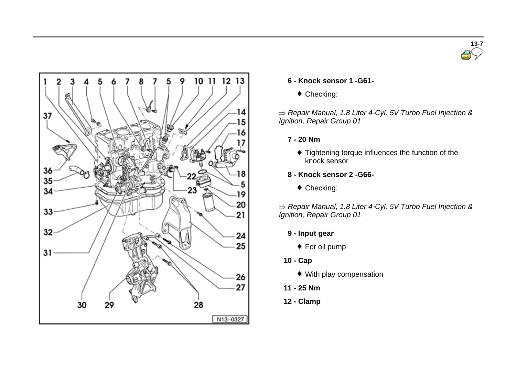



- **6 - Knock sensor 1 -G61-**
	- Checking:

*Repair Manual, 1.8 Liter 4-Cyl. 5V Turbo Fuel Injection & Ignition, Repair Group 01*

- **7 - 20 Nm**
	- $\bullet$  Tightening torque influences the function of the knock sensor
- **8 - Knock sensor 2 -G66-**
	- Checking:

*Repair Manual, 1.8 Liter 4-Cyl. 5V Turbo Fuel Injection & Ignition, Repair Group 01*

- **9 - Input gear**
	- ◆ For oil pump
- **10 - Cap**
	- With play compensation
- **11 - 25 Nm**
- **12 - Clamp**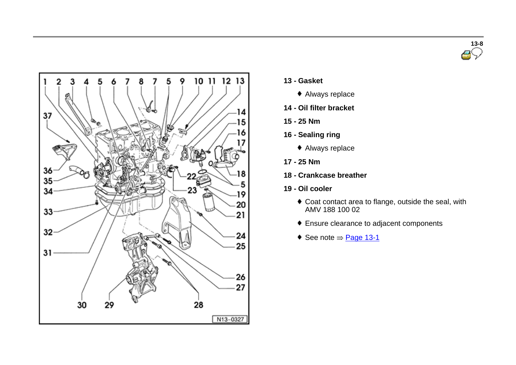



- **13 - Gasket**
	- Always replace
- **14 - Oil filter bracket**
- **15 - 25 Nm**
- **16 - Sealing ring**
	- Always replace
- **17 - 25 Nm**
- **18 - Crankcase breather**
- **19 - Oil cooler**
	- Coat contact area to flange, outside the seal, with AMV 188 100 02
	- Ensure clearance to adjacent components
	- $\triangleq$  See note  $\Rightarrow$  Page 13-1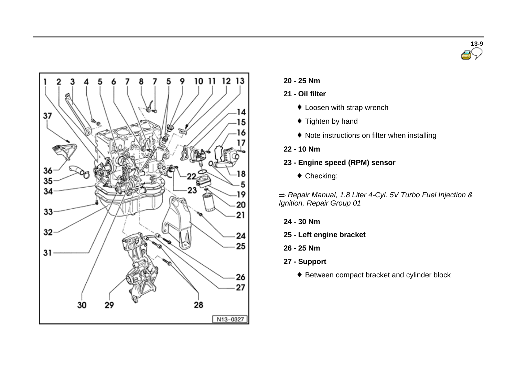



### **20 - 25 Nm**

### **21 - Oil filter**

- Loosen with strap wrench
- $\bullet$  Tighten by hand
- Note instructions on filter when installing
- **22 - 10 Nm**

### **23 - Engine speed (RPM) sensor**

Checking:

*Repair Manual, 1.8 Liter 4-Cyl. 5V Turbo Fuel Injection & Ignition, Repair Group 01*

- **24 - 30 Nm**
- **25 - Left engine bracket**
- **26 - 25 Nm**
- **27 - Support**
	- ♦ Between compact bracket and cylinder block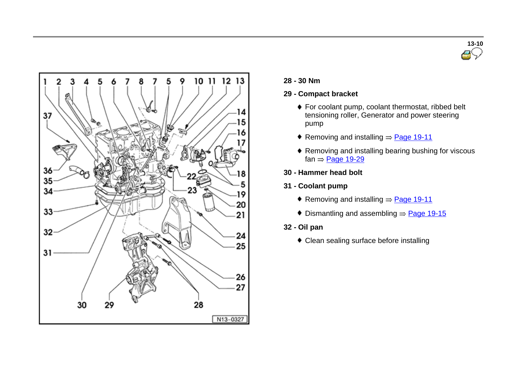



### **28 - <sup>30</sup> Nm**

### **29 - Compact bracket**

- For coolant pump, coolant thermostat, ribbed belt tensioning roller, Generator and power steering pump
- Removing and installing  $\Rightarrow$  Page 19-11
- ♦ Removing and installing bearing bushing for viscous  $fan = Page 19-29$
- **30 - Hammer head bolt**
- **31 - Coolant pump**
	- Removing and installing  $=$  Page 19-11
	- $\blacklozenge$  Dismantling and assembling  $\Rightarrow$  Page 19-15
- **32 - Oil pan**
	- Clean sealing surface before installing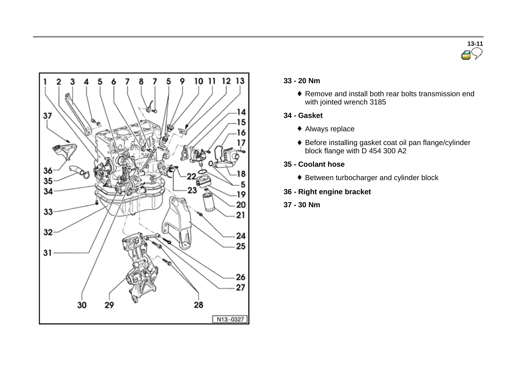



### **33 - <sup>20</sup> Nm**

Remove and install both rear bolts transmission end with jointed wrench 3185

### **34 - Gasket**

- Always replace
- Before installing gasket coat oil pan flange/cylinder block flange with D 454 300 A2
- **35 - Coolant hose**
	- Between turbocharger and cylinder block
- **36 - Right engine bracket**
- **37 - 30 Nm**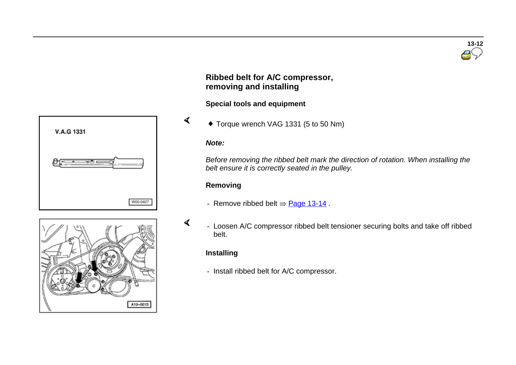## **Ribbed belt for A/C compressor, removing and installing**

### **Special tools and equipment**

Torque wrench VAG 1331 (5 to 50 Nm)

### *Note:*

 $\blacktriangleleft$ 

 $\blacktriangleleft$ 

*Before removing the ribbed belt mark the direction of rotation. When installing the belt ensure it is correctly seated in the pulley.*

### **Removing**

- Remove ribbed belt  $=$  Page 13-14.
- Loosen A/C compressor ribbed belt tensioner securing bolts and take off ribbed belt.

### **Installing**

- Install ribbed belt for A/C compressor.





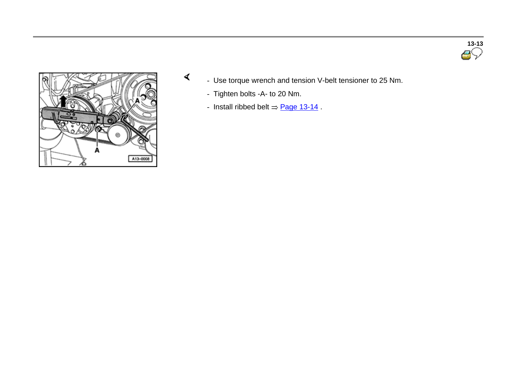



- Use torque wrench and tension V-belt tensioner to 25 Nm.
	- Tighten bolts -A- to 20 Nm.

 $\blacktriangleleft$ 

- Install ribbed belt  $\Rightarrow$  Page 13-14.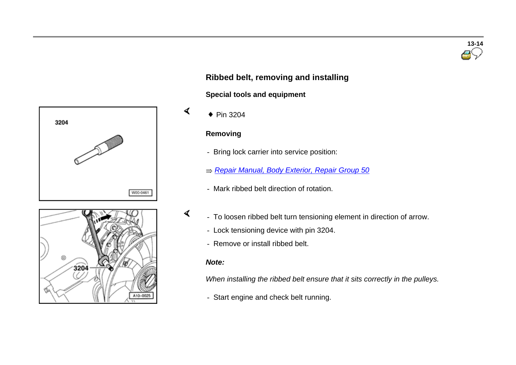

**Special tools and equipment** 

 $\bullet$  Pin 3204

 $\blacktriangleleft$ 

 $\blacktriangleleft$ 

### **Removing**

- Bring lock carrier into service position:
- *Repair Manual, Body Exterior, Repair Group 50*
- Mark ribbed belt direction of rotation.
- To loosen ribbed belt turn tensioning element in direction of arrow.
- Lock tensioning device with pin 3204.
- Remove or install ribbed belt.

### *Note:*

*When installing the ribbed belt ensure that it sits correctly in the pulleys.*

- Start engine and check belt running.





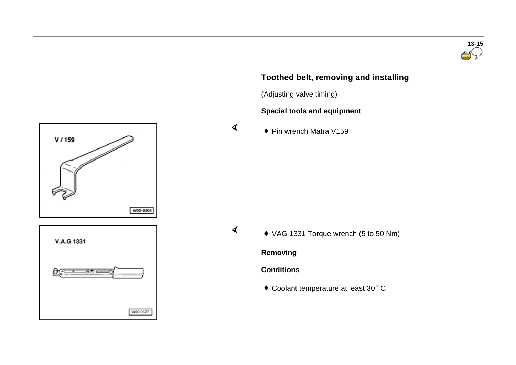





 $\triangleleft$   $\rightarrow$  Pin wrench Matra V159

 $\prec$ 

VAG 1331 Torque wrench (5 to 50 Nm)

**Toothed belt, removing and installing**

(Adjusting valve timing)

**Special tools and equipment** 

### **Removing**

### **Conditions**

 $\bullet$  Coolant temperature at least 30 $^{\circ}$  C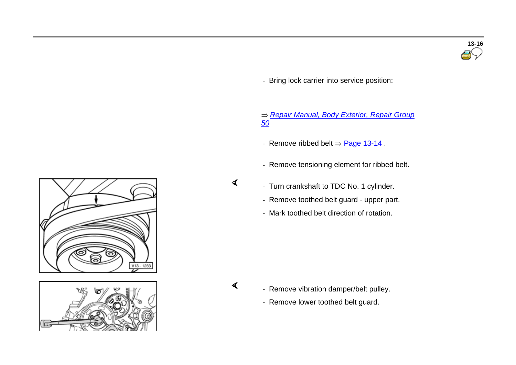- Bring lock carrier into service position:
- *Repair Manual, Body Exterior, Repair Group 50*
- Remove ribbed belt  $\Rightarrow$  Page 13-14.
- Remove tensioning element for ribbed belt.
- Turn crankshaft to TDC No. 1 cylinder.
	- Remove toothed belt guard upper part.
	- Mark toothed belt direction of rotation.

- Remove vibration damper/belt pulley.
- Remove lower toothed belt guard.





 $\prec$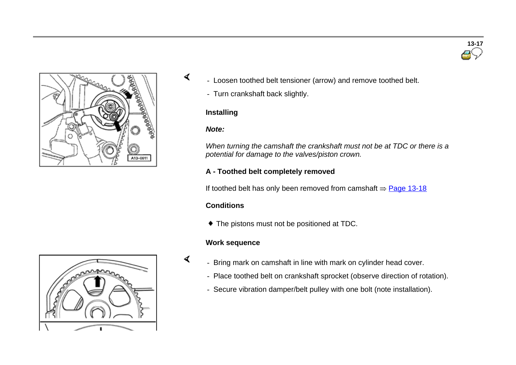



- Loosen toothed belt tensioner (arrow) and remove toothed belt.
	- Turn crankshaft back slightly.

### **Installing**

### *Note:*

 $\blacktriangleleft$ 

 $\blacktriangleleft$ 

*When turning the camshaft the crankshaft must not be at TDC or there is a potential for damage to the valves/piston crown.*

### **A - Toothed belt completely removed**

If toothed belt has only been removed from camshaft  $\Rightarrow$  Page 13-18

### **Conditions**

The pistons must not be positioned at TDC.

### **Work sequence**

- Bring mark on camshaft in line with mark on cylinder head cover.
	- Place toothed belt on crankshaft sprocket (observe direction of rotation).
	- Secure vibration damper/belt pulley with one bolt (note installation).

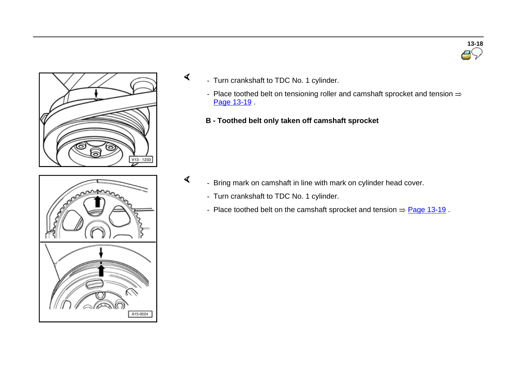



- Turn crankshaft to TDC No. 1 cylinder.

 $\blacktriangleleft$ 

 $\blacktriangleleft$ 

- Place toothed belt on tensioning roller and camshaft sprocket and tension  $\Rightarrow$ Page 13-19
- **B - Toothed belt only taken off camshaft sprocket**

- Bring mark on camshaft in line with mark on cylinder head cover.
	- Turn crankshaft to TDC No. 1 cylinder.
	- Place toothed belt on the camshaft sprocket and tension  $\Rightarrow$  Page 13-19.

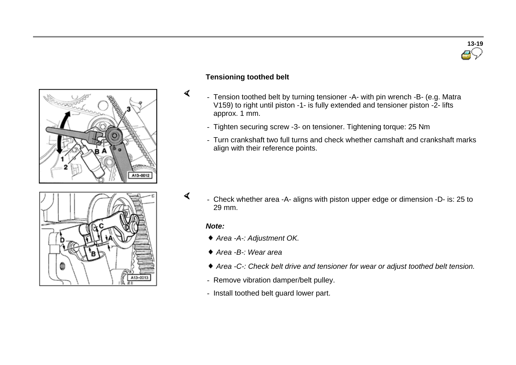

# A13-0013

### **Tensioning toothed belt**

- Tension toothed belt by turning tensioner -A- with pin wrench -B- (e.g. Matra V159) to right until piston -1- is fully extended and tensioner piston -2- lifts approx. 1 mm.
- Tighten securing screw -3- on tensioner. Tightening torque: 25 Nm
- Turn crankshaft two full turns and check whether camshaft and crankshaft marks align with their reference points.

- Check whether area -A- aligns with piston upper edge or dimension -D- is: 25 to 29 mm.

### *Note:*

 $\blacktriangleleft$ 

 $\blacktriangleleft$ 

- *Area -A-: Adjustment OK.*
- *Area -B-: Wear area*
- *Area -C-: Check belt drive and tensioner for wear or adjust toothed belt tension.*
- Remove vibration damper/belt pulley.
- Install toothed belt guard lower part.